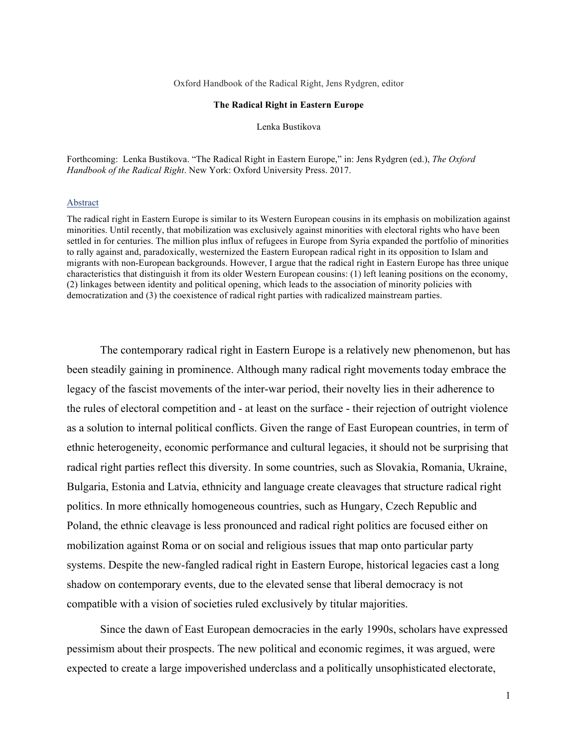Oxford Handbook of the Radical Right, Jens Rydgren, editor

### **The Radical Right in Eastern Europe**

Lenka Bustikova

Forthcoming: Lenka Bustikova. "The Radical Right in Eastern Europe," in: Jens Rydgren (ed.), *The Oxford Handbook of the Radical Right*. New York: Oxford University Press. 2017.

### Abstract

The radical right in Eastern Europe is similar to its Western European cousins in its emphasis on mobilization against minorities. Until recently, that mobilization was exclusively against minorities with electoral rights who have been settled in for centuries. The million plus influx of refugees in Europe from Syria expanded the portfolio of minorities to rally against and, paradoxically, westernized the Eastern European radical right in its opposition to Islam and migrants with non-European backgrounds. However, I argue that the radical right in Eastern Europe has three unique characteristics that distinguish it from its older Western European cousins: (1) left leaning positions on the economy, (2) linkages between identity and political opening, which leads to the association of minority policies with democratization and (3) the coexistence of radical right parties with radicalized mainstream parties.

The contemporary radical right in Eastern Europe is a relatively new phenomenon, but has been steadily gaining in prominence. Although many radical right movements today embrace the legacy of the fascist movements of the inter-war period, their novelty lies in their adherence to the rules of electoral competition and - at least on the surface - their rejection of outright violence as a solution to internal political conflicts. Given the range of East European countries, in term of ethnic heterogeneity, economic performance and cultural legacies, it should not be surprising that radical right parties reflect this diversity. In some countries, such as Slovakia, Romania, Ukraine, Bulgaria, Estonia and Latvia, ethnicity and language create cleavages that structure radical right politics. In more ethnically homogeneous countries, such as Hungary, Czech Republic and Poland, the ethnic cleavage is less pronounced and radical right politics are focused either on mobilization against Roma or on social and religious issues that map onto particular party systems. Despite the new-fangled radical right in Eastern Europe, historical legacies cast a long shadow on contemporary events, due to the elevated sense that liberal democracy is not compatible with a vision of societies ruled exclusively by titular majorities.

Since the dawn of East European democracies in the early 1990s, scholars have expressed pessimism about their prospects. The new political and economic regimes, it was argued, were expected to create a large impoverished underclass and a politically unsophisticated electorate,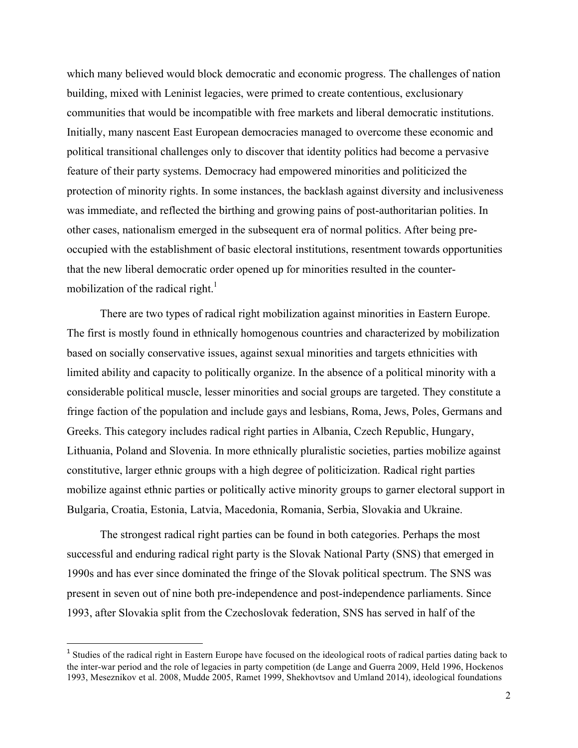which many believed would block democratic and economic progress. The challenges of nation building, mixed with Leninist legacies, were primed to create contentious, exclusionary communities that would be incompatible with free markets and liberal democratic institutions. Initially, many nascent East European democracies managed to overcome these economic and political transitional challenges only to discover that identity politics had become a pervasive feature of their party systems. Democracy had empowered minorities and politicized the protection of minority rights. In some instances, the backlash against diversity and inclusiveness was immediate, and reflected the birthing and growing pains of post-authoritarian polities. In other cases, nationalism emerged in the subsequent era of normal politics. After being preoccupied with the establishment of basic electoral institutions, resentment towards opportunities that the new liberal democratic order opened up for minorities resulted in the countermobilization of the radical right. $\frac{1}{1}$ 

There are two types of radical right mobilization against minorities in Eastern Europe. The first is mostly found in ethnically homogenous countries and characterized by mobilization based on socially conservative issues, against sexual minorities and targets ethnicities with limited ability and capacity to politically organize. In the absence of a political minority with a considerable political muscle, lesser minorities and social groups are targeted. They constitute a fringe faction of the population and include gays and lesbians, Roma, Jews, Poles, Germans and Greeks. This category includes radical right parties in Albania, Czech Republic, Hungary, Lithuania, Poland and Slovenia. In more ethnically pluralistic societies, parties mobilize against constitutive, larger ethnic groups with a high degree of politicization. Radical right parties mobilize against ethnic parties or politically active minority groups to garner electoral support in Bulgaria, Croatia, Estonia, Latvia, Macedonia, Romania, Serbia, Slovakia and Ukraine.

The strongest radical right parties can be found in both categories. Perhaps the most successful and enduring radical right party is the Slovak National Party (SNS) that emerged in 1990s and has ever since dominated the fringe of the Slovak political spectrum. The SNS was present in seven out of nine both pre-independence and post-independence parliaments. Since 1993, after Slovakia split from the Czechoslovak federation, SNS has served in half of the

<u> 1989 - Johann Stein, marwolaethau a bh</u>

<sup>&</sup>lt;sup>1</sup> Studies of the radical right in Eastern Europe have focused on the ideological roots of radical parties dating back to the inter-war period and the role of legacies in party competition (de Lange and Guerra 2009, Held 1996, Hockenos 1993, Meseznikov et al. 2008, Mudde 2005, Ramet 1999, Shekhovtsov and Umland 2014), ideological foundations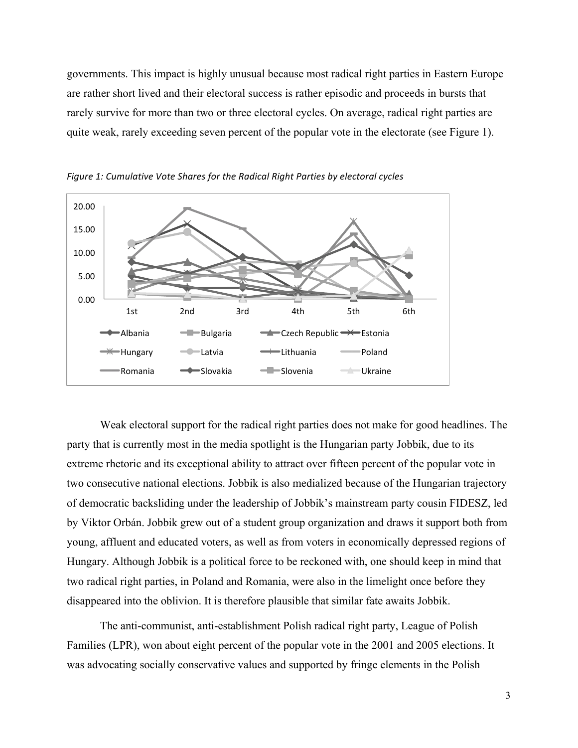governments. This impact is highly unusual because most radical right parties in Eastern Europe are rather short lived and their electoral success is rather episodic and proceeds in bursts that rarely survive for more than two or three electoral cycles. On average, radical right parties are quite weak, rarely exceeding seven percent of the popular vote in the electorate (see Figure 1).



Figure 1: Cumulative Vote Shares for the Radical Right Parties by electoral cycles

Weak electoral support for the radical right parties does not make for good headlines. The party that is currently most in the media spotlight is the Hungarian party Jobbik, due to its extreme rhetoric and its exceptional ability to attract over fifteen percent of the popular vote in two consecutive national elections. Jobbik is also medialized because of the Hungarian trajectory of democratic backsliding under the leadership of Jobbik's mainstream party cousin FIDESZ, led by Viktor Orbán. Jobbik grew out of a student group organization and draws it support both from young, affluent and educated voters, as well as from voters in economically depressed regions of Hungary. Although Jobbik is a political force to be reckoned with, one should keep in mind that two radical right parties, in Poland and Romania, were also in the limelight once before they disappeared into the oblivion. It is therefore plausible that similar fate awaits Jobbik.

The anti-communist, anti-establishment Polish radical right party, League of Polish Families (LPR), won about eight percent of the popular vote in the 2001 and 2005 elections. It was advocating socially conservative values and supported by fringe elements in the Polish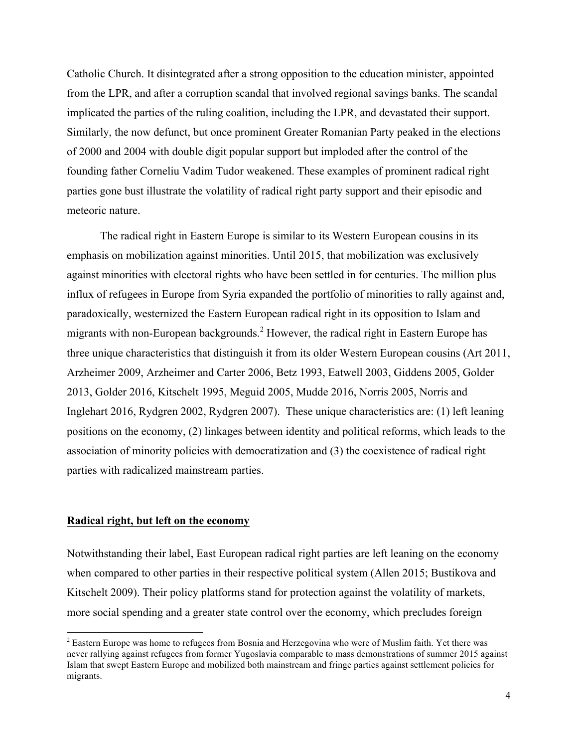Catholic Church. It disintegrated after a strong opposition to the education minister, appointed from the LPR, and after a corruption scandal that involved regional savings banks. The scandal implicated the parties of the ruling coalition, including the LPR, and devastated their support. Similarly, the now defunct, but once prominent Greater Romanian Party peaked in the elections of 2000 and 2004 with double digit popular support but imploded after the control of the founding father Corneliu Vadim Tudor weakened. These examples of prominent radical right parties gone bust illustrate the volatility of radical right party support and their episodic and meteoric nature.

The radical right in Eastern Europe is similar to its Western European cousins in its emphasis on mobilization against minorities. Until 2015, that mobilization was exclusively against minorities with electoral rights who have been settled in for centuries. The million plus influx of refugees in Europe from Syria expanded the portfolio of minorities to rally against and, paradoxically, westernized the Eastern European radical right in its opposition to Islam and migrants with non-European backgrounds.<sup>2</sup> However, the radical right in Eastern Europe has three unique characteristics that distinguish it from its older Western European cousins (Art 2011, Arzheimer 2009, Arzheimer and Carter 2006, Betz 1993, Eatwell 2003, Giddens 2005, Golder 2013, Golder 2016, Kitschelt 1995, Meguid 2005, Mudde 2016, Norris 2005, Norris and Inglehart 2016, Rydgren 2002, Rydgren 2007). These unique characteristics are: (1) left leaning positions on the economy, (2) linkages between identity and political reforms, which leads to the association of minority policies with democratization and (3) the coexistence of radical right parties with radicalized mainstream parties.

# **Radical right, but left on the economy**

<u> 1989 - Johann Stein, marwolaethau a bh</u>

Notwithstanding their label, East European radical right parties are left leaning on the economy when compared to other parties in their respective political system (Allen 2015; Bustikova and Kitschelt 2009). Their policy platforms stand for protection against the volatility of markets, more social spending and a greater state control over the economy, which precludes foreign

<sup>&</sup>lt;sup>2</sup> Eastern Europe was home to refugees from Bosnia and Herzegovina who were of Muslim faith. Yet there was never rallying against refugees from former Yugoslavia comparable to mass demonstrations of summer 2015 against Islam that swept Eastern Europe and mobilized both mainstream and fringe parties against settlement policies for migrants.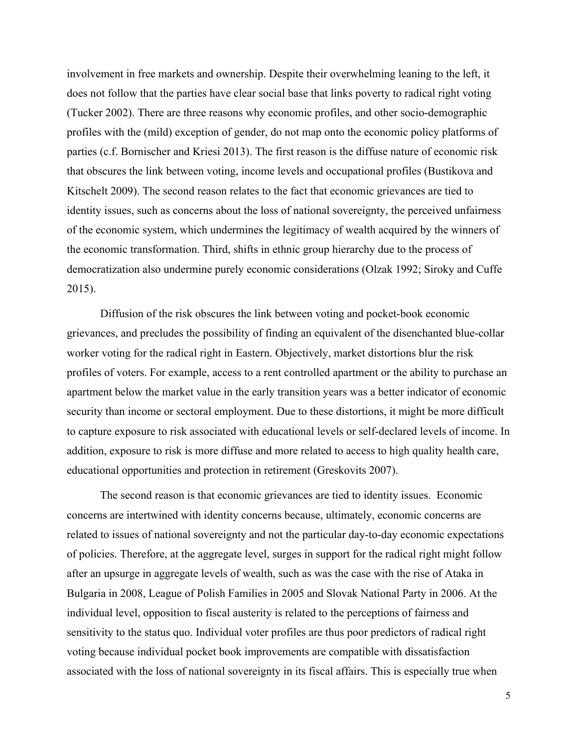involvement in free markets and ownership. Despite their overwhelming leaning to the left, it does not follow that the parties have clear social base that links poverty to radical right voting (Tucker 2002). There are three reasons why economic profiles, and other socio-demographic profiles with the (mild) exception of gender, do not map onto the economic policy platforms of parties (c.f. Bornischer and Kriesi 2013). The first reason is the diffuse nature of economic risk that obscures the link between voting, income levels and occupational profiles (Bustikova and Kitschelt 2009). The second reason relates to the fact that economic grievances are tied to identity issues, such as concerns about the loss of national sovereignty, the perceived unfairness of the economic system, which undermines the legitimacy of wealth acquired by the winners of the economic transformation. Third, shifts in ethnic group hierarchy due to the process of democratization also undermine purely economic considerations (Olzak 1992; Siroky and Cuffe 2015).

Diffusion of the risk obscures the link between voting and pocket-book economic grievances, and precludes the possibility of finding an equivalent of the disenchanted blue-collar worker voting for the radical right in Eastern. Objectively, market distortions blur the risk profiles of voters. For example, access to a rent controlled apartment or the ability to purchase an apartment below the market value in the early transition years was a better indicator of economic security than income or sectoral employment. Due to these distortions, it might be more difficult to capture exposure to risk associated with educational levels or self-declared levels of income. In addition, exposure to risk is more diffuse and more related to access to high quality health care, educational opportunities and protection in retirement (Greskovits 2007).

The second reason is that economic grievances are tied to identity issues. Economic concerns are intertwined with identity concerns because, ultimately, economic concerns are related to issues of national sovereignty and not the particular day-to-day economic expectations of policies. Therefore, at the aggregate level, surges in support for the radical right might follow after an upsurge in aggregate levels of wealth, such as was the case with the rise of Ataka in Bulgaria in 2008, League of Polish Families in 2005 and Slovak National Party in 2006. At the individual level, opposition to fiscal austerity is related to the perceptions of fairness and sensitivity to the status quo. Individual voter profiles are thus poor predictors of radical right voting because individual pocket book improvements are compatible with dissatisfaction associated with the loss of national sovereignty in its fiscal affairs. This is especially true when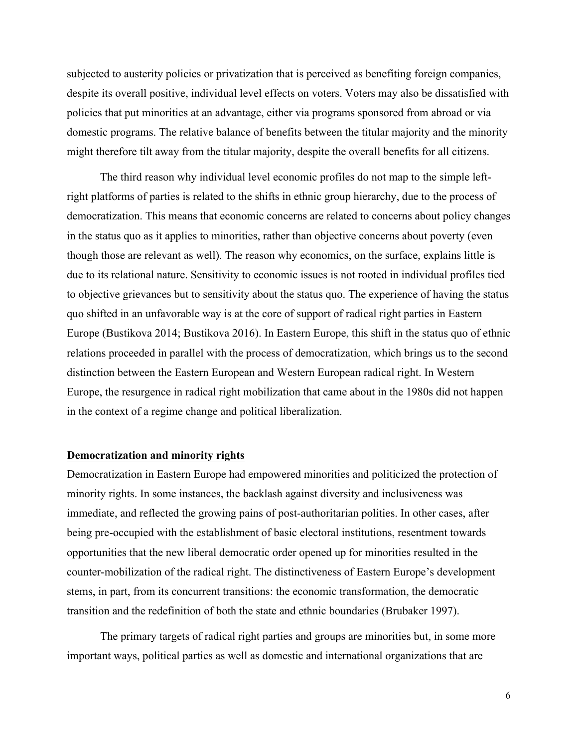subjected to austerity policies or privatization that is perceived as benefiting foreign companies, despite its overall positive, individual level effects on voters. Voters may also be dissatisfied with policies that put minorities at an advantage, either via programs sponsored from abroad or via domestic programs. The relative balance of benefits between the titular majority and the minority might therefore tilt away from the titular majority, despite the overall benefits for all citizens.

The third reason why individual level economic profiles do not map to the simple leftright platforms of parties is related to the shifts in ethnic group hierarchy, due to the process of democratization. This means that economic concerns are related to concerns about policy changes in the status quo as it applies to minorities, rather than objective concerns about poverty (even though those are relevant as well). The reason why economics, on the surface, explains little is due to its relational nature. Sensitivity to economic issues is not rooted in individual profiles tied to objective grievances but to sensitivity about the status quo. The experience of having the status quo shifted in an unfavorable way is at the core of support of radical right parties in Eastern Europe (Bustikova 2014; Bustikova 2016). In Eastern Europe, this shift in the status quo of ethnic relations proceeded in parallel with the process of democratization, which brings us to the second distinction between the Eastern European and Western European radical right. In Western Europe, the resurgence in radical right mobilization that came about in the 1980s did not happen in the context of a regime change and political liberalization.

# **Democratization and minority rights**

Democratization in Eastern Europe had empowered minorities and politicized the protection of minority rights. In some instances, the backlash against diversity and inclusiveness was immediate, and reflected the growing pains of post-authoritarian polities. In other cases, after being pre-occupied with the establishment of basic electoral institutions, resentment towards opportunities that the new liberal democratic order opened up for minorities resulted in the counter-mobilization of the radical right. The distinctiveness of Eastern Europe's development stems, in part, from its concurrent transitions: the economic transformation, the democratic transition and the redefinition of both the state and ethnic boundaries (Brubaker 1997).

The primary targets of radical right parties and groups are minorities but, in some more important ways, political parties as well as domestic and international organizations that are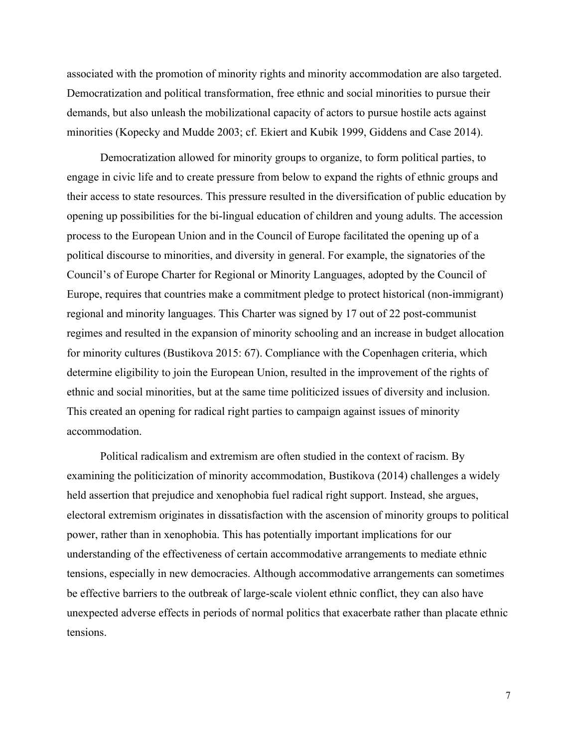associated with the promotion of minority rights and minority accommodation are also targeted. Democratization and political transformation, free ethnic and social minorities to pursue their demands, but also unleash the mobilizational capacity of actors to pursue hostile acts against minorities (Kopecky and Mudde 2003; cf. Ekiert and Kubik 1999, Giddens and Case 2014).

Democratization allowed for minority groups to organize, to form political parties, to engage in civic life and to create pressure from below to expand the rights of ethnic groups and their access to state resources. This pressure resulted in the diversification of public education by opening up possibilities for the bi-lingual education of children and young adults. The accession process to the European Union and in the Council of Europe facilitated the opening up of a political discourse to minorities, and diversity in general. For example, the signatories of the Council's of Europe Charter for Regional or Minority Languages, adopted by the Council of Europe, requires that countries make a commitment pledge to protect historical (non-immigrant) regional and minority languages. This Charter was signed by 17 out of 22 post-communist regimes and resulted in the expansion of minority schooling and an increase in budget allocation for minority cultures (Bustikova 2015: 67). Compliance with the Copenhagen criteria, which determine eligibility to join the European Union, resulted in the improvement of the rights of ethnic and social minorities, but at the same time politicized issues of diversity and inclusion. This created an opening for radical right parties to campaign against issues of minority accommodation.

Political radicalism and extremism are often studied in the context of racism. By examining the politicization of minority accommodation, Bustikova (2014) challenges a widely held assertion that prejudice and xenophobia fuel radical right support. Instead, she argues, electoral extremism originates in dissatisfaction with the ascension of minority groups to political power, rather than in xenophobia. This has potentially important implications for our understanding of the effectiveness of certain accommodative arrangements to mediate ethnic tensions, especially in new democracies. Although accommodative arrangements can sometimes be effective barriers to the outbreak of large-scale violent ethnic conflict, they can also have unexpected adverse effects in periods of normal politics that exacerbate rather than placate ethnic tensions.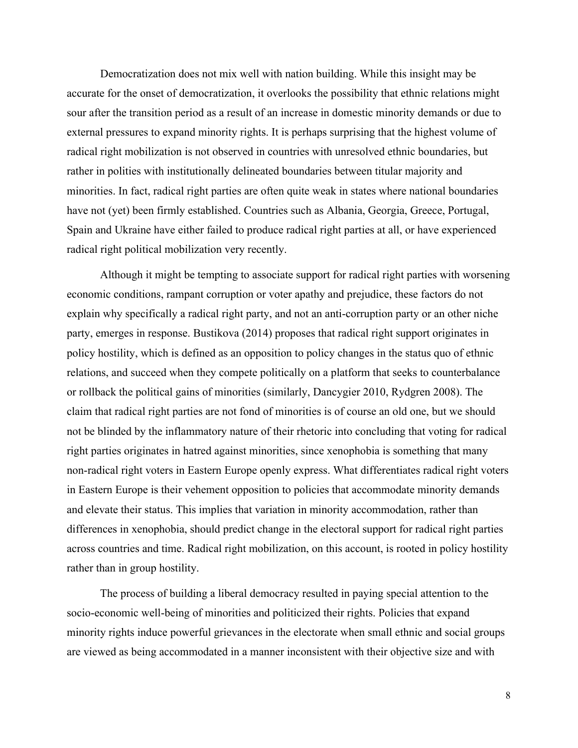Democratization does not mix well with nation building. While this insight may be accurate for the onset of democratization, it overlooks the possibility that ethnic relations might sour after the transition period as a result of an increase in domestic minority demands or due to external pressures to expand minority rights. It is perhaps surprising that the highest volume of radical right mobilization is not observed in countries with unresolved ethnic boundaries, but rather in polities with institutionally delineated boundaries between titular majority and minorities. In fact, radical right parties are often quite weak in states where national boundaries have not (yet) been firmly established. Countries such as Albania, Georgia, Greece, Portugal, Spain and Ukraine have either failed to produce radical right parties at all, or have experienced radical right political mobilization very recently.

Although it might be tempting to associate support for radical right parties with worsening economic conditions, rampant corruption or voter apathy and prejudice, these factors do not explain why specifically a radical right party, and not an anti-corruption party or an other niche party, emerges in response. Bustikova (2014) proposes that radical right support originates in policy hostility, which is defined as an opposition to policy changes in the status quo of ethnic relations, and succeed when they compete politically on a platform that seeks to counterbalance or rollback the political gains of minorities (similarly, Dancygier 2010, Rydgren 2008). The claim that radical right parties are not fond of minorities is of course an old one, but we should not be blinded by the inflammatory nature of their rhetoric into concluding that voting for radical right parties originates in hatred against minorities, since xenophobia is something that many non-radical right voters in Eastern Europe openly express. What differentiates radical right voters in Eastern Europe is their vehement opposition to policies that accommodate minority demands and elevate their status. This implies that variation in minority accommodation, rather than differences in xenophobia, should predict change in the electoral support for radical right parties across countries and time. Radical right mobilization, on this account, is rooted in policy hostility rather than in group hostility.

The process of building a liberal democracy resulted in paying special attention to the socio-economic well-being of minorities and politicized their rights. Policies that expand minority rights induce powerful grievances in the electorate when small ethnic and social groups are viewed as being accommodated in a manner inconsistent with their objective size and with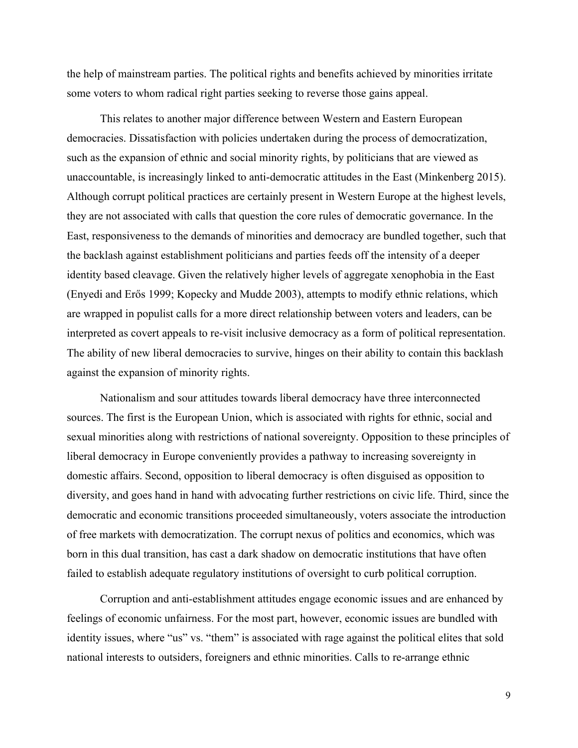the help of mainstream parties. The political rights and benefits achieved by minorities irritate some voters to whom radical right parties seeking to reverse those gains appeal.

This relates to another major difference between Western and Eastern European democracies. Dissatisfaction with policies undertaken during the process of democratization, such as the expansion of ethnic and social minority rights, by politicians that are viewed as unaccountable, is increasingly linked to anti-democratic attitudes in the East (Minkenberg 2015). Although corrupt political practices are certainly present in Western Europe at the highest levels, they are not associated with calls that question the core rules of democratic governance. In the East, responsiveness to the demands of minorities and democracy are bundled together, such that the backlash against establishment politicians and parties feeds off the intensity of a deeper identity based cleavage. Given the relatively higher levels of aggregate xenophobia in the East (Enyedi and Erős 1999; Kopecky and Mudde 2003), attempts to modify ethnic relations, which are wrapped in populist calls for a more direct relationship between voters and leaders, can be interpreted as covert appeals to re-visit inclusive democracy as a form of political representation. The ability of new liberal democracies to survive, hinges on their ability to contain this backlash against the expansion of minority rights.

Nationalism and sour attitudes towards liberal democracy have three interconnected sources. The first is the European Union, which is associated with rights for ethnic, social and sexual minorities along with restrictions of national sovereignty. Opposition to these principles of liberal democracy in Europe conveniently provides a pathway to increasing sovereignty in domestic affairs. Second, opposition to liberal democracy is often disguised as opposition to diversity, and goes hand in hand with advocating further restrictions on civic life. Third, since the democratic and economic transitions proceeded simultaneously, voters associate the introduction of free markets with democratization. The corrupt nexus of politics and economics, which was born in this dual transition, has cast a dark shadow on democratic institutions that have often failed to establish adequate regulatory institutions of oversight to curb political corruption.

Corruption and anti-establishment attitudes engage economic issues and are enhanced by feelings of economic unfairness. For the most part, however, economic issues are bundled with identity issues, where "us" vs. "them" is associated with rage against the political elites that sold national interests to outsiders, foreigners and ethnic minorities. Calls to re-arrange ethnic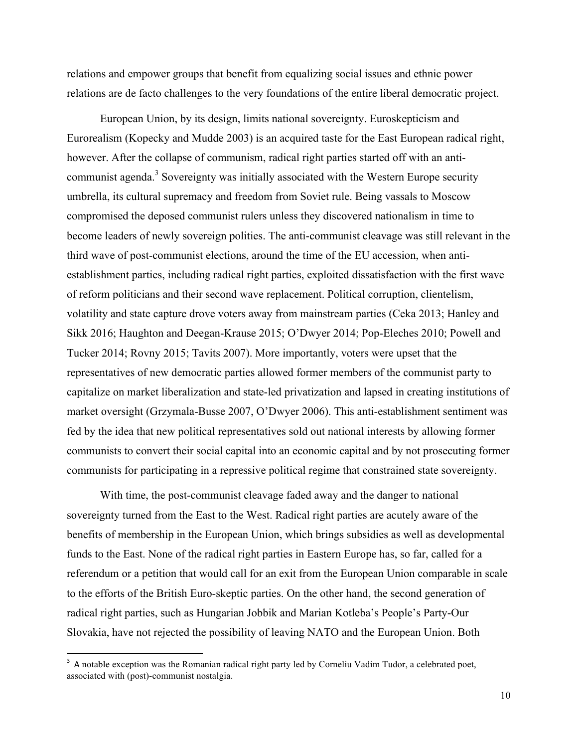relations and empower groups that benefit from equalizing social issues and ethnic power relations are de facto challenges to the very foundations of the entire liberal democratic project.

European Union, by its design, limits national sovereignty. Euroskepticism and Eurorealism (Kopecky and Mudde 2003) is an acquired taste for the East European radical right, however. After the collapse of communism, radical right parties started off with an anticommunist agenda.<sup>3</sup> Sovereignty was initially associated with the Western Europe security umbrella, its cultural supremacy and freedom from Soviet rule. Being vassals to Moscow compromised the deposed communist rulers unless they discovered nationalism in time to become leaders of newly sovereign polities. The anti-communist cleavage was still relevant in the third wave of post-communist elections, around the time of the EU accession, when antiestablishment parties, including radical right parties, exploited dissatisfaction with the first wave of reform politicians and their second wave replacement. Political corruption, clientelism, volatility and state capture drove voters away from mainstream parties (Ceka 2013; Hanley and Sikk 2016; Haughton and Deegan-Krause 2015; O'Dwyer 2014; Pop-Eleches 2010; Powell and Tucker 2014; Rovny 2015; Tavits 2007). More importantly, voters were upset that the representatives of new democratic parties allowed former members of the communist party to capitalize on market liberalization and state-led privatization and lapsed in creating institutions of market oversight (Grzymala-Busse 2007, O'Dwyer 2006). This anti-establishment sentiment was fed by the idea that new political representatives sold out national interests by allowing former communists to convert their social capital into an economic capital and by not prosecuting former communists for participating in a repressive political regime that constrained state sovereignty.

With time, the post-communist cleavage faded away and the danger to national sovereignty turned from the East to the West. Radical right parties are acutely aware of the benefits of membership in the European Union, which brings subsidies as well as developmental funds to the East. None of the radical right parties in Eastern Europe has, so far, called for a referendum or a petition that would call for an exit from the European Union comparable in scale to the efforts of the British Euro-skeptic parties. On the other hand, the second generation of radical right parties, such as Hungarian Jobbik and Marian Kotleba's People's Party-Our Slovakia, have not rejected the possibility of leaving NATO and the European Union. Both

<sup>&</sup>lt;sup>3</sup> A notable exception was the Romanian radical right party led by Corneliu Vadim Tudor, a celebrated poet, associated with (post)-communist nostalgia.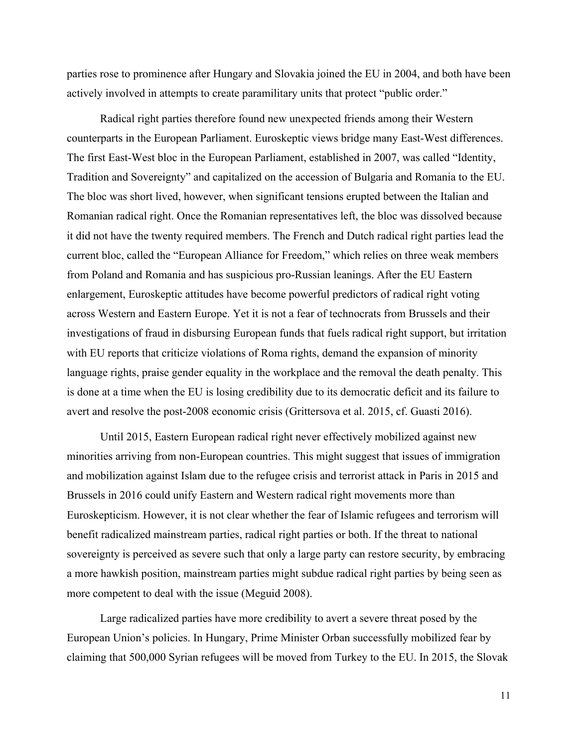parties rose to prominence after Hungary and Slovakia joined the EU in 2004, and both have been actively involved in attempts to create paramilitary units that protect "public order."

Radical right parties therefore found new unexpected friends among their Western counterparts in the European Parliament. Euroskeptic views bridge many East-West differences. The first East-West bloc in the European Parliament, established in 2007, was called "Identity, Tradition and Sovereignty" and capitalized on the accession of Bulgaria and Romania to the EU. The bloc was short lived, however, when significant tensions erupted between the Italian and Romanian radical right. Once the Romanian representatives left, the bloc was dissolved because it did not have the twenty required members. The French and Dutch radical right parties lead the current bloc, called the "European Alliance for Freedom," which relies on three weak members from Poland and Romania and has suspicious pro-Russian leanings. After the EU Eastern enlargement, Euroskeptic attitudes have become powerful predictors of radical right voting across Western and Eastern Europe. Yet it is not a fear of technocrats from Brussels and their investigations of fraud in disbursing European funds that fuels radical right support, but irritation with EU reports that criticize violations of Roma rights, demand the expansion of minority language rights, praise gender equality in the workplace and the removal the death penalty. This is done at a time when the EU is losing credibility due to its democratic deficit and its failure to avert and resolve the post-2008 economic crisis (Grittersova et al. 2015, cf. Guasti 2016).

Until 2015, Eastern European radical right never effectively mobilized against new minorities arriving from non-European countries. This might suggest that issues of immigration and mobilization against Islam due to the refugee crisis and terrorist attack in Paris in 2015 and Brussels in 2016 could unify Eastern and Western radical right movements more than Euroskepticism. However, it is not clear whether the fear of Islamic refugees and terrorism will benefit radicalized mainstream parties, radical right parties or both. If the threat to national sovereignty is perceived as severe such that only a large party can restore security, by embracing a more hawkish position, mainstream parties might subdue radical right parties by being seen as more competent to deal with the issue (Meguid 2008).

Large radicalized parties have more credibility to avert a severe threat posed by the European Union's policies. In Hungary, Prime Minister Orban successfully mobilized fear by claiming that 500,000 Syrian refugees will be moved from Turkey to the EU. In 2015, the Slovak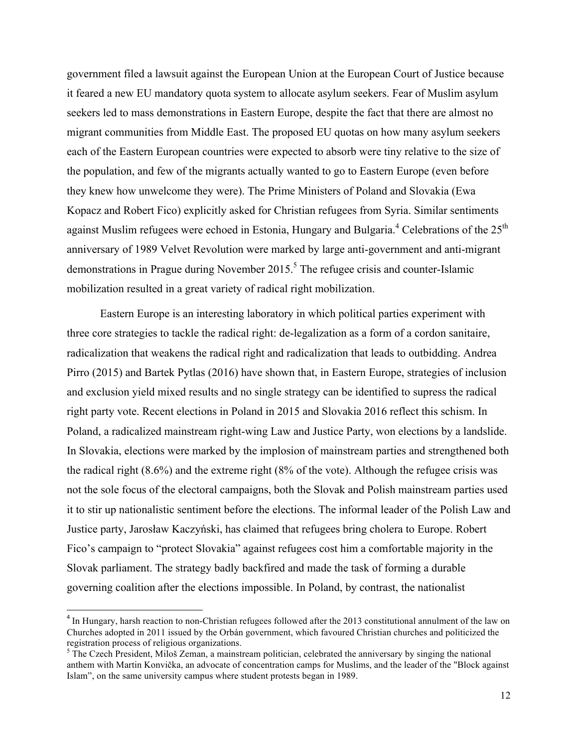government filed a lawsuit against the European Union at the European Court of Justice because it feared a new EU mandatory quota system to allocate asylum seekers. Fear of Muslim asylum seekers led to mass demonstrations in Eastern Europe, despite the fact that there are almost no migrant communities from Middle East. The proposed EU quotas on how many asylum seekers each of the Eastern European countries were expected to absorb were tiny relative to the size of the population, and few of the migrants actually wanted to go to Eastern Europe (even before they knew how unwelcome they were). The Prime Ministers of Poland and Slovakia (Ewa Kopacz and Robert Fico) explicitly asked for Christian refugees from Syria. Similar sentiments against Muslim refugees were echoed in Estonia, Hungary and Bulgaria.<sup>4</sup> Celebrations of the  $25<sup>th</sup>$ anniversary of 1989 Velvet Revolution were marked by large anti-government and anti-migrant demonstrations in Prague during November 2015.<sup>5</sup> The refugee crisis and counter-Islamic mobilization resulted in a great variety of radical right mobilization.

Eastern Europe is an interesting laboratory in which political parties experiment with three core strategies to tackle the radical right: de-legalization as a form of a cordon sanitaire, radicalization that weakens the radical right and radicalization that leads to outbidding. Andrea Pirro (2015) and Bartek Pytlas (2016) have shown that, in Eastern Europe, strategies of inclusion and exclusion yield mixed results and no single strategy can be identified to supress the radical right party vote. Recent elections in Poland in 2015 and Slovakia 2016 reflect this schism. In Poland, a radicalized mainstream right-wing Law and Justice Party, won elections by a landslide. In Slovakia, elections were marked by the implosion of mainstream parties and strengthened both the radical right (8.6%) and the extreme right (8% of the vote). Although the refugee crisis was not the sole focus of the electoral campaigns, both the Slovak and Polish mainstream parties used it to stir up nationalistic sentiment before the elections. The informal leader of the Polish Law and Justice party, Jarosław Kaczyński, has claimed that refugees bring cholera to Europe. Robert Fico's campaign to "protect Slovakia" against refugees cost him a comfortable majority in the Slovak parliament. The strategy badly backfired and made the task of forming a durable governing coalition after the elections impossible. In Poland, by contrast, the nationalist

 

<sup>&</sup>lt;sup>4</sup> In Hungary, harsh reaction to non-Christian refugees followed after the 2013 constitutional annulment of the law on Churches adopted in 2011 issued by the Orbán government, which favoured Christian churches and politicized the registration process of religious organizations.

<sup>&</sup>lt;sup>5</sup> The Czech President, Miloš Zeman, a mainstream politician, celebrated the anniversary by singing the national anthem with Martin Konvička, an advocate of concentration camps for Muslims, and the leader of the "Block against Islam", on the same university campus where student protests began in 1989.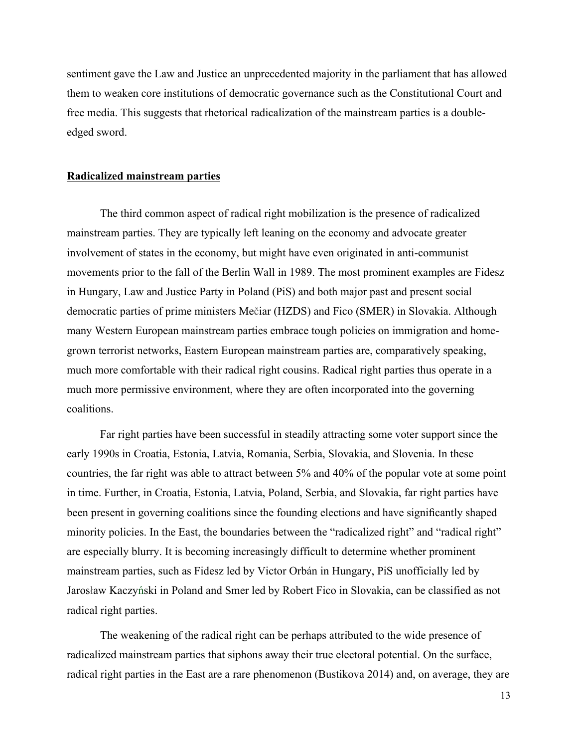sentiment gave the Law and Justice an unprecedented majority in the parliament that has allowed them to weaken core institutions of democratic governance such as the Constitutional Court and free media. This suggests that rhetorical radicalization of the mainstream parties is a doubleedged sword.

# **Radicalized mainstream parties**

The third common aspect of radical right mobilization is the presence of radicalized mainstream parties. They are typically left leaning on the economy and advocate greater involvement of states in the economy, but might have even originated in anti-communist movements prior to the fall of the Berlin Wall in 1989. The most prominent examples are Fidesz in Hungary, Law and Justice Party in Poland (PiS) and both major past and present social democratic parties of prime ministers Mečiar (HZDS) and Fico (SMER) in Slovakia. Although many Western European mainstream parties embrace tough policies on immigration and homegrown terrorist networks, Eastern European mainstream parties are, comparatively speaking, much more comfortable with their radical right cousins. Radical right parties thus operate in a much more permissive environment, where they are often incorporated into the governing coalitions.

Far right parties have been successful in steadily attracting some voter support since the early 1990s in Croatia, Estonia, Latvia, Romania, Serbia, Slovakia, and Slovenia. In these countries, the far right was able to attract between 5% and 40% of the popular vote at some point in time. Further, in Croatia, Estonia, Latvia, Poland, Serbia, and Slovakia, far right parties have been present in governing coalitions since the founding elections and have significantly shaped minority policies. In the East, the boundaries between the "radicalized right" and "radical right" are especially blurry. It is becoming increasingly difficult to determine whether prominent mainstream parties, such as Fidesz led by Victor Orbán in Hungary, PiS unofficially led by Jarosław Kaczyński in Poland and Smer led by Robert Fico in Slovakia, can be classified as not radical right parties.

The weakening of the radical right can be perhaps attributed to the wide presence of radicalized mainstream parties that siphons away their true electoral potential. On the surface, radical right parties in the East are a rare phenomenon (Bustikova 2014) and, on average, they are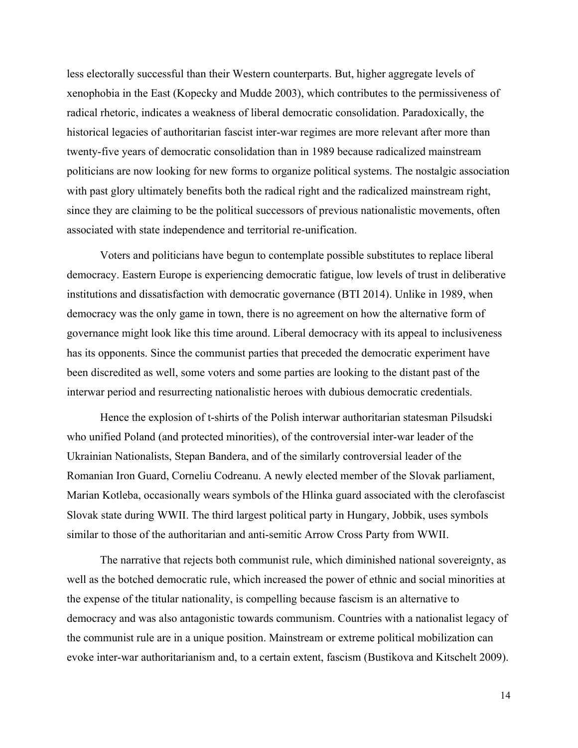less electorally successful than their Western counterparts. But, higher aggregate levels of xenophobia in the East (Kopecky and Mudde 2003), which contributes to the permissiveness of radical rhetoric, indicates a weakness of liberal democratic consolidation. Paradoxically, the historical legacies of authoritarian fascist inter-war regimes are more relevant after more than twenty-five years of democratic consolidation than in 1989 because radicalized mainstream politicians are now looking for new forms to organize political systems. The nostalgic association with past glory ultimately benefits both the radical right and the radicalized mainstream right, since they are claiming to be the political successors of previous nationalistic movements, often associated with state independence and territorial re-unification.

Voters and politicians have begun to contemplate possible substitutes to replace liberal democracy. Eastern Europe is experiencing democratic fatigue, low levels of trust in deliberative institutions and dissatisfaction with democratic governance (BTI 2014). Unlike in 1989, when democracy was the only game in town, there is no agreement on how the alternative form of governance might look like this time around. Liberal democracy with its appeal to inclusiveness has its opponents. Since the communist parties that preceded the democratic experiment have been discredited as well, some voters and some parties are looking to the distant past of the interwar period and resurrecting nationalistic heroes with dubious democratic credentials.

Hence the explosion of t-shirts of the Polish interwar authoritarian statesman Pilsudski who unified Poland (and protected minorities), of the controversial inter-war leader of the Ukrainian Nationalists, Stepan Bandera, and of the similarly controversial leader of the Romanian Iron Guard, Corneliu Codreanu. A newly elected member of the Slovak parliament, Marian Kotleba, occasionally wears symbols of the Hlinka guard associated with the clerofascist Slovak state during WWII. The third largest political party in Hungary, Jobbik, uses symbols similar to those of the authoritarian and anti-semitic Arrow Cross Party from WWII.

The narrative that rejects both communist rule, which diminished national sovereignty, as well as the botched democratic rule, which increased the power of ethnic and social minorities at the expense of the titular nationality, is compelling because fascism is an alternative to democracy and was also antagonistic towards communism. Countries with a nationalist legacy of the communist rule are in a unique position. Mainstream or extreme political mobilization can evoke inter-war authoritarianism and, to a certain extent, fascism (Bustikova and Kitschelt 2009).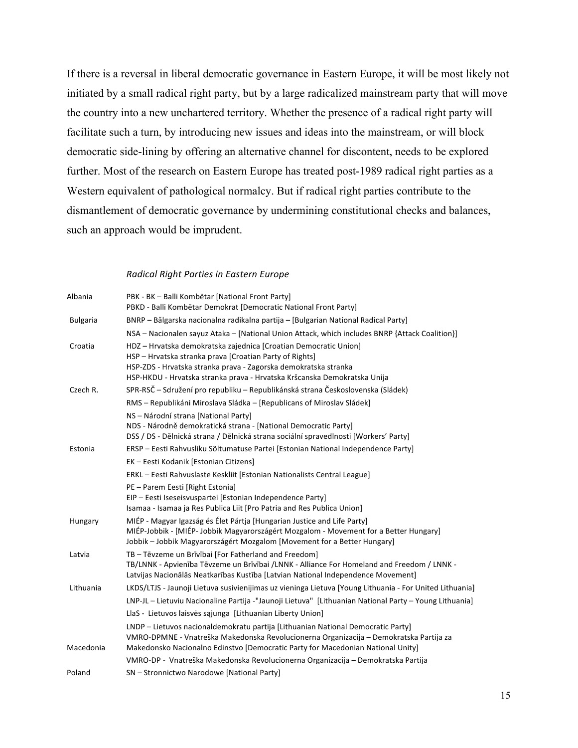If there is a reversal in liberal democratic governance in Eastern Europe, it will be most likely not initiated by a small radical right party, but by a large radicalized mainstream party that will move the country into a new unchartered territory. Whether the presence of a radical right party will facilitate such a turn, by introducing new issues and ideas into the mainstream, or will block democratic side-lining by offering an alternative channel for discontent, needs to be explored further. Most of the research on Eastern Europe has treated post-1989 radical right parties as a Western equivalent of pathological normalcy. But if radical right parties contribute to the dismantlement of democratic governance by undermining constitutional checks and balances, such an approach would be imprudent.

### *Radical Right Parties in Eastern Europe*

| Albania         | PBK - BK - Balli Kombëtar [National Front Party]<br>PBKD - Balli Kombëtar Demokrat [Democratic National Front Party]                                                                                                                                                       |
|-----------------|----------------------------------------------------------------------------------------------------------------------------------------------------------------------------------------------------------------------------------------------------------------------------|
| <b>Bulgaria</b> | BNRP – Bălgarska nacionalna radikalna partija – [Bulgarian National Radical Party]                                                                                                                                                                                         |
|                 | NSA - Nacionalen sayuz Ataka - [National Union Attack, which includes BNRP {Attack Coalition}]                                                                                                                                                                             |
| Croatia         | HDZ - Hrvatska demokratska zajednica [Croatian Democratic Union]<br>HSP - Hrvatska stranka prava [Croatian Party of Rights]<br>HSP-ZDS - Hrvatska stranka prava - Zagorska demokratska stranka<br>HSP-HKDU - Hrvatska stranka prava - Hrvatska Kršcanska Demokratska Unija |
| Czech R.        | SPR-RSČ – Sdružení pro republiku – Republikánská strana Československa (Sládek)                                                                                                                                                                                            |
|                 | RMS – Republikáni Miroslava Sládka – [Republicans of Miroslav Sládek]                                                                                                                                                                                                      |
|                 | NS - Národní strana [National Party]<br>NDS - Národně demokratická strana - [National Democratic Party]<br>DSS / DS - Dělnická strana / Dělnická strana sociální spravedlnosti [Workers' Party]                                                                            |
| Estonia         | ERSP – Eesti Rahvusliku Sõltumatuse Partei [Estonian National Independence Party]                                                                                                                                                                                          |
|                 | EK - Eesti Kodanik [Estonian Citizens]                                                                                                                                                                                                                                     |
|                 | ERKL - Eesti Rahvuslaste Keskliit [Estonian Nationalists Central League]                                                                                                                                                                                                   |
|                 | PE - Parem Eesti [Right Estonia]<br>EIP - Eesti Iseseisvuspartei [Estonian Independence Party]<br>Isamaa - Isamaa ja Res Publica Liit [Pro Patria and Res Publica Union]                                                                                                   |
| Hungary         | MIÉP - Magyar Igazság és Élet Pártja [Hungarian Justice and Life Party]<br>MIÉP-Jobbik - [MIÉP-Jobbik Magyarországért Mozgalom - Movement for a Better Hungary]<br>Jobbik - Jobbik Magyarországért Mozgalom [Movement for a Better Hungary]                                |
| Latvia          | TB - Tēvzeme un Brīvībai [For Fatherland and Freedom]<br>TB/LNNK - Apvienība Tēvzeme un Brīvībai /LNNK - Alliance For Homeland and Freedom / LNNK -<br>Latvijas Nacionālās Neatkarības Kustība [Latvian National Independence Movement]                                    |
| Lithuania       | LKDS/LTJS - Jaunoji Lietuva susivienijimas uz vieninga Lietuva [Young Lithuania - For United Lithuania]                                                                                                                                                                    |
|                 | LNP-JL - Lietuviu Nacionaline Partija -"Jaunoji Lietuva" [Lithuanian National Party - Young Lithuania]                                                                                                                                                                     |
|                 | LlaS - Lietuvos laisvės sąjunga [Lithuanian Liberty Union]                                                                                                                                                                                                                 |
| Macedonia       | LNDP - Lietuvos nacionaldemokratu partija [Lithuanian National Democratic Party]<br>VMRO-DPMNE - Vnatreška Makedonska Revolucionerna Organizacija - Demokratska Partija za<br>Makedonsko Nacionalno Edinstvo [Democratic Party for Macedonian National Unity]              |
|                 | VMRO-DP - Vnatreška Makedonska Revolucionerna Organizacija – Demokratska Partija                                                                                                                                                                                           |
| Poland          | SN - Stronnictwo Narodowe [National Party]                                                                                                                                                                                                                                 |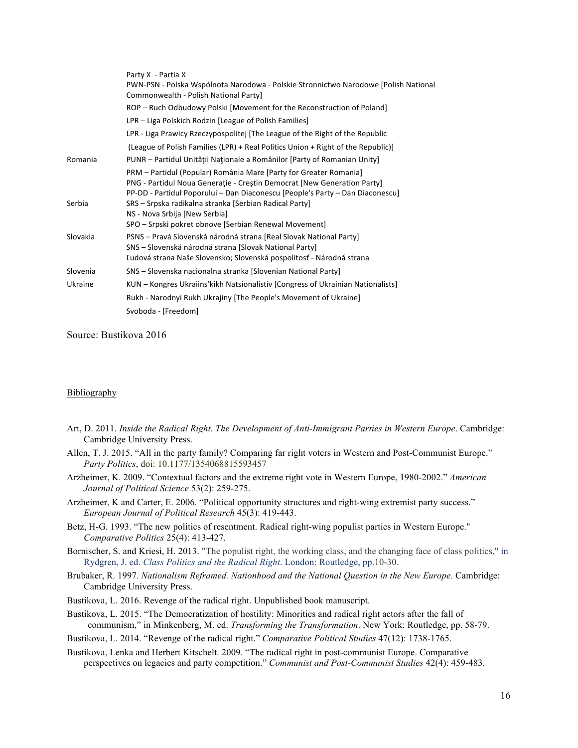|          | Party X - Partia X                                                                                                                                                                                                            |
|----------|-------------------------------------------------------------------------------------------------------------------------------------------------------------------------------------------------------------------------------|
|          | PWN-PSN - Polska Wspólnota Narodowa - Polskie Stronnictwo Narodowe [Polish National<br>Commonwealth - Polish National Party]                                                                                                  |
|          | ROP – Ruch Odbudowy Polski [Movement for the Reconstruction of Poland]                                                                                                                                                        |
|          | LPR – Liga Polskich Rodzin [League of Polish Families]                                                                                                                                                                        |
|          | LPR - Liga Prawicy Rzeczypospolitej [The League of the Right of the Republic                                                                                                                                                  |
|          | (League of Polish Families (LPR) + Real Politics Union + Right of the Republic)                                                                                                                                               |
| Romania  | PUNR - Partidul Unității Naționale a Românilor [Party of Romanian Unity]                                                                                                                                                      |
|          | PRM - Partidul (Popular) România Mare [Party for Greater Romania]<br>PNG - Partidul Noua Generație - Creștin Democrat [New Generation Party]<br>PP-DD - Partidul Poporului - Dan Diaconescu [People's Party - Dan Diaconescu] |
| Serbia   | SRS – Srpska radikalna stranka [Serbian Radical Party]<br>NS - Nova Srbija [New Serbia]                                                                                                                                       |
|          | SPO – Srpski pokret obnove [Serbian Renewal Movement]                                                                                                                                                                         |
| Slovakia | PSNS – Pravá Slovenská národná strana [Real Slovak National Party]<br>SNS – Slovenská národná strana [Slovak National Party]<br>Ľudová strana Naše Slovensko; Slovenská pospolitosť - Národná strana                          |
| Slovenia | SNS – Slovenska nacionalna stranka [Slovenian National Party]                                                                                                                                                                 |
| Ukraine  | KUN – Kongres Ukraiins' kikh Natsionalistiv [Congress of Ukrainian Nationalists]                                                                                                                                              |
|          | Rukh - Narodnyi Rukh Ukrajiny [The People's Movement of Ukraine]                                                                                                                                                              |
|          | Svoboda - [Freedom]                                                                                                                                                                                                           |
|          |                                                                                                                                                                                                                               |

Source: Bustikova 2016

### **Bibliography**

- Art, D. 2011. *Inside the Radical Right. The Development of Anti-Immigrant Parties in Western Europe*. Cambridge: Cambridge University Press.
- Allen, T. J. 2015. "All in the party family? Comparing far right voters in Western and Post-Communist Europe." *Party Politics*, doi: 10.1177/1354068815593457
- Arzheimer, K. 2009. "Contextual factors and the extreme right vote in Western Europe, 1980-2002." *American Journal of Political Science* 53(2): 259-275.
- Arzheimer, K and Carter, E. 2006. "Political opportunity structures and right-wing extremist party success." *European Journal of Political Research* 45(3): 419-443.
- Betz, H-G. 1993. "The new politics of resentment. Radical right-wing populist parties in Western Europe." *Comparative Politics* 25(4): 413-427.
- Bornischer, S. and Kriesi, H. 2013. "The populist right, the working class, and the changing face of class politics," in Rydgren, J. ed. *Class Politics and the Radical Right*. London: Routledge, pp.10-30.
- Brubaker, R. 1997. *Nationalism Reframed. Nationhood and the National Question in the New Europe.* Cambridge: Cambridge University Press.
- Bustikova, L. 2016. Revenge of the radical right. Unpublished book manuscript.
- Bustikova, L. 2015. "The Democratization of hostility: Minorities and radical right actors after the fall of communism," in Minkenberg, M. ed. *Transforming the Transformation*. New York: Routledge, pp. 58-79.

Bustikova, L. 2014. "Revenge of the radical right." *Comparative Political Studies* 47(12): 1738-1765.

Bustikova, Lenka and Herbert Kitschelt. 2009. "The radical right in post-communist Europe. Comparative perspectives on legacies and party competition." *Communist and Post-Communist Studies* 42(4): 459-483.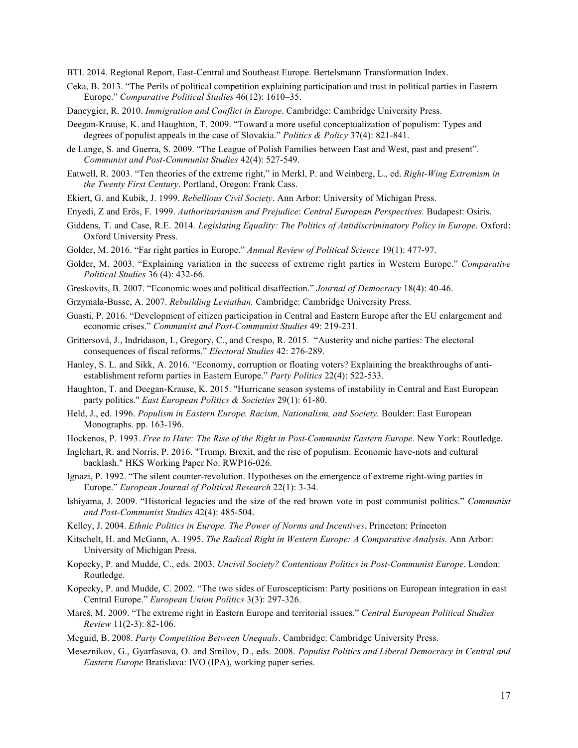BTI. 2014. Regional Report, East-Central and Southeast Europe. Bertelsmann Transformation Index.

- Ceka, B. 2013. "The Perils of political competition explaining participation and trust in political parties in Eastern Europe." *Comparative Political Studies* 46(12): 1610–35.
- Dancygier, R. 2010. *Immigration and Conflict in Europe*. Cambridge: Cambridge University Press.
- Deegan-Krause, K. and Haughton, T. 2009. "Toward a more useful conceptualization of populism: Types and degrees of populist appeals in the case of Slovakia." *Politics & Policy* 37(4): 821-841.
- de Lange, S. and Guerra, S. 2009. "The League of Polish Families between East and West, past and present". *Communist and Post-Communist Studies* 42(4): 527-549.
- Eatwell, R. 2003. "Ten theories of the extreme right," in Merkl, P. and Weinberg, L., ed. *Right-Wing Extremism in the Twenty First Century*. Portland, Oregon: Frank Cass.
- Ekiert, G. and Kubik, J. 1999. *Rebellious Civil Society*. Ann Arbor: University of Michigan Press.
- Enyedi, Z and Erős, F. 1999. *Authoritarianism and Prejudice*: *Central European Perspectives.* Budapest: Osiris.
- Giddens, T. and Case, R.E. 2014. *Legislating Equality: The Politics of Antidiscriminatory Policy in Europe*. Oxford: Oxford University Press.
- Golder, M. 2016. "Far right parties in Europe." *Annual Review of Political Science* 19(1): 477-97.
- Golder, M. 2003. "Explaining variation in the success of extreme right parties in Western Europe." *Comparative Political Studies* 36 (4): 432-66.
- Greskovits, B. 2007. "Economic woes and political disaffection." *Journal of Democracy* 18(4): 40-46.
- Grzymala-Busse, A. 2007. *Rebuilding Leviathan.* Cambridge: Cambridge University Press.
- Guasti, P. 2016. "Development of citizen participation in Central and Eastern Europe after the EU enlargement and economic crises." *Communist and Post-Communist Studies* 49: 219-231.
- Grittersová, J., Indridason, I., Gregory, C., and Crespo, R. 2015. "Austerity and niche parties: The electoral consequences of fiscal reforms." *Electoral Studies* 42: 276-289.
- Hanley, S. L. and Sikk, A. 2016. "Economy, corruption or floating voters? Explaining the breakthroughs of antiestablishment reform parties in Eastern Europe." *Party Politics* 22(4): 522-533.
- Haughton, T. and Deegan-Krause, K. 2015. "Hurricane season systems of instability in Central and East European party politics." *East European Politics & Societies* 29(1): 61-80.
- Held, J., ed. 1996. *Populism in Eastern Europe. Racism, Nationalism, and Society.* Boulder: East European Monographs. pp. 163-196.
- Hockenos, P. 1993. *Free to Hate: The Rise of the Right in Post-Communist Eastern Europe.* New York: Routledge.
- Inglehart, R. and Norris, P. 2016. "Trump, Brexit, and the rise of populism: Economic have-nots and cultural backlash." HKS Working Paper No. RWP16-026.
- Ignazi, P. 1992. "The silent counter-revolution. Hypotheses on the emergence of extreme right-wing parties in Europe." *European Journal of Political Research* 22(1): 3-34.
- Ishiyama, J. 2009. "Historical legacies and the size of the red brown vote in post communist politics." *Communist and Post-Communist Studies* 42(4): 485-504.
- Kelley, J. 2004. *Ethnic Politics in Europe. The Power of Norms and Incentives*. Princeton: Princeton
- Kitschelt, H. and McGann, A. 1995. *The Radical Right in Western Europe: A Comparative Analysis.* Ann Arbor: University of Michigan Press.
- Kopecky, P. and Mudde, C., eds. 2003. *Uncivil Society? Contentious Politics in Post-Communist Europe*. London: Routledge.
- Kopecky, P. and Mudde, C. 2002. "The two sides of Euroscepticism: Party positions on European integration in east Central Europe." *European Union Politics* 3(3): 297-326.
- Mareš, M. 2009. "The extreme right in Eastern Europe and territorial issues." *Central European Political Studies Review* 11(2-3): 82-106.
- Meguid, B. 2008. *Party Competition Between Unequals*. Cambridge: Cambridge University Press.
- Meseznikov, G., Gyarfasova, O. and Smilov, D., eds. 2008. *Populist Politics and Liberal Democracy in Central and Eastern Europe* Bratislava: IVO (IPA), working paper series.